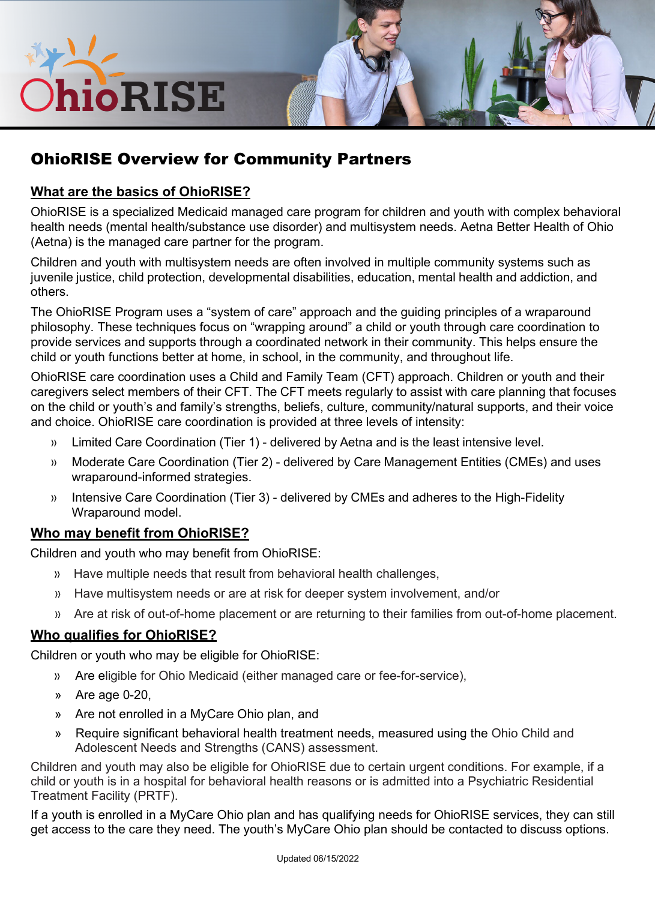

# OhioRISE Overview for Community Partners

### **What are the basics of OhioRISE?**

OhioRISE is a specialized Medicaid managed care program for children and youth with complex behavioral health needs (mental health/substance use disorder) and multisystem needs. Aetna Better Health of Ohio (Aetna) is the managed care partner for the program.

I

Children and youth with multisystem needs are often involved in multiple community systems such as juvenile justice, child protection, developmental disabilities, education, mental health and addiction, and others.

The OhioRISE Program uses a "system of care" approach and the guiding principles of a wraparound philosophy. These techniques focus on "wrapping around" a child or youth through care coordination to provide services and supports through a coordinated network in their community. This helps ensure the child or youth functions better at home, in school, in the community, and throughout life.

OhioRISE care coordination uses a Child and Family Team (CFT) approach. Children or youth and their caregivers select members of their CFT. The CFT meets regularly to assist with care planning that focuses on the child or youth's and family's strengths, beliefs, culture, community/natural supports, and their voice and choice. OhioRISE care coordination is provided at three levels of intensity:

- » Limited Care Coordination (Tier 1) delivered by Aetna and is the least intensive level.
- » Moderate Care Coordination (Tier 2) delivered by Care Management Entities (CMEs) and uses wraparound-informed strategies.
- » Intensive Care Coordination (Tier 3) delivered by CMEs and adheres to the High-Fidelity Wraparound model.

### **Who may benefit from OhioRISE?**

Children and youth who may benefit from OhioRISE:

- » Have multiple needs that result from behavioral health challenges,
- » Have multisystem needs or are at risk for deeper system involvement, and/or
- » Are at risk of out-of-home placement or are returning to their families from out-of-home placement.

#### **Who qualifies for OhioRISE?**

Children or youth who may be eligible for OhioRISE:

- » Are eligible for Ohio Medicaid (either managed care or fee-for-service),
- » Are age 0-20,
- » Are not enrolled in a MyCare Ohio plan, and
- » Require significant behavioral health treatment needs, measured using the Ohio Child and Adolescent Needs and Strengths (CANS) assessment.

Children and youth may also be eligible for OhioRISE due to certain urgent conditions. For example, if a child or youth is in a hospital for behavioral health reasons or is admitted into a Psychiatric Residential Treatment Facility (PRTF).

If a youth is enrolled in a MyCare Ohio plan and has qualifying needs for OhioRISE services, they can still get access to the care they need. The youth's MyCare Ohio plan should be contacted to discuss options.